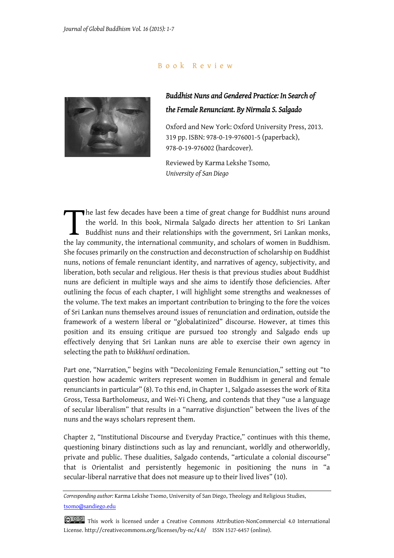## B o o k R e v i e w



## *Buddhist Nuns and Gendered Practice: In Search of the Female Renunciant. By Nirmala S. Salgado*

Oxford and New York: Oxford University Press, 2013. 319 pp. ISBN: 978-0-19-976001-5 (paperback), 978-0-19-976002 (hardcover).

Reviewed by Karma Lekshe Tsomo*, University of San Diego*

he last few decades have been a time of great change for Buddhist nuns around the world. In this book, Nirmala Salgado directs her attention to Sri Lankan Buddhist nuns and their relationships with the government, Sri Lankan monks, The last few decades have been a time of great change for Buddhist nuns around<br>the world. In this book, Nirmala Salgado directs her attention to Sri Lankan<br>Buddhist nuns and their relationships with the government, Sri Lan She focuses primarily on the construction and deconstruction of scholarship on Buddhist nuns, notions of female renunciant identity, and narratives of agency, subjectivity, and liberation, both secular and religious. Her thesis is that previous studies about Buddhist nuns are deficient in multiple ways and she aims to identify those deficiencies. After outlining the focus of each chapter, I will highlight some strengths and weaknesses of the volume. The text makes an important contribution to bringing to the fore the voices of Sri Lankan nuns themselves around issues of renunciation and ordination, outside the framework of a western liberal or "globalatinized" discourse. However, at times this position and its ensuing critique are pursued too strongly and Salgado ends up effectively denying that Sri Lankan nuns are able to exercise their own agency in selecting the path to *bhikkhunī* ordination.

Part one, "Narration," begins with "Decolonizing Female Renunciation," setting out "to question how academic writers represent women in Buddhism in general and female renunciants in particular" (8). To this end, in Chapter 1, Salgado assesses the work of Rita Gross, Tessa Bartholomeusz, and Wei-Yi Cheng, and contends that they "use a language of secular liberalism" that results in a "narrative disjunction" between the lives of the nuns and the ways scholars represent them.

Chapter 2, "Institutional Discourse and Everyday Practice," continues with this theme, questioning binary distinctions such as lay and renunciant, worldly and otherworldly, private and public. These dualities, Salgado contends, "articulate a colonial discourse" that is Orientalist and persistently hegemonic in positioning the nuns in "a secular-liberal narrative that does not measure up to their lived lives" (10).

*Corresponding author:* Karma Lekshe Tsomo, University of San Diego, Theology and Religious Studies, tsomo@sandiego.edu

**@ 0 9** This work is licensed under a Creative Commons Attribution-NonCommercial 4.0 International License. http://creativecommons.org/licenses/by-nc/4.0/ ISSN 1527-6457 (online).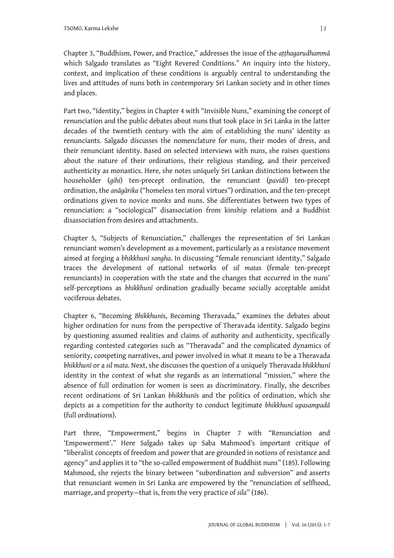Chapter 3, "Buddhism, Power, and Practice," addresses the issue of the *aṭṭhagarudhammā* which Salgado translates as "Eight Revered Conditions." An inquiry into the history, context, and implication of these conditions is arguably central to understanding the lives and attitudes of nuns both in contemporary Sri Lankan society and in other times and places.

Part two, "Identity," begins in Chapter 4 with "Invisible Nuns," examining the concept of renunciation and the public debates about nuns that took place in Sri Lanka in the latter decades of the twentieth century with the aim of establishing the nuns' identity as renunciants. Salgado discusses the nomenclature for nuns, their modes of dress, and their renunciant identity. Based on selected interviews with nuns, she raises questions about the nature of their ordinations, their religious standing, and their perceived authenticity as monastics. Here, she notes uniquely Sri Lankan distinctions between the householder (*gihi*) ten-precept ordination, the renunciant (*pavidi*) ten-precept ordination, the *anāgārika* ("homeless ten moral virtues") ordination, and the ten-precept ordinations given to novice monks and nuns. She differentiates between two types of renunciation: a "sociological" disassociation from kinship relations and a Buddhist disassociation from desires and attachments.

Chapter 5, "Subjects of Renunciation," challenges the representation of Sri Lankan renunciant women's development as a movement, particularly as a resistance movement aimed at forging a *bhikkhunī sangha*. In discussing "female renunciant identity," Salgado traces the development of national networks of *sil mata*s (female ten-precept renunciants) in cooperation with the state and the changes that occurred in the nuns' self-perceptions as *bhikkhunī* ordination gradually became socially acceptable amidst vociferous debates.

Chapter 6, "Becoming *Bhikkhuni*s, Becoming Theravada," examines the debates about higher ordination for nuns from the perspective of Theravada identity. Salgado begins by questioning assumed realities and claims of authority and authenticity, specifically regarding contested categories such as "Theravada" and the complicated dynamics of seniority, competing narratives, and power involved in what it means to be a Theravada *bhikkhunī* or a *sil mata*. Next, she discusses the question of a uniquely Theravada *bhikkhunī* identity in the context of what she regards as an international "mission," where the absence of full ordination for women is seen as discriminatory. Finally, she describes recent ordinations of Sri Lankan *bhikkhunī*s and the politics of ordination, which she depicts as a competition for the authority to conduct legitimate *bhikkhunī upasampadā* (full ordinations).

Part three, "Empowerment," begins in Chapter 7 with "Renunciation and 'Empowerment'." Here Salgado takes up Saba Mahmood's important critique of "liberalist concepts of freedom and power that are grounded in notions of resistance and agency" and applies it to "the so-called empowerment of Buddhist nuns" (185). Following Mahmood, she rejects the binary between "subordination and subversion" and asserts that renunciant women in Sri Lanka are empowered by the "renunciation of selfhood, marriage, and property—that is, from the very practice of *sila*" (186).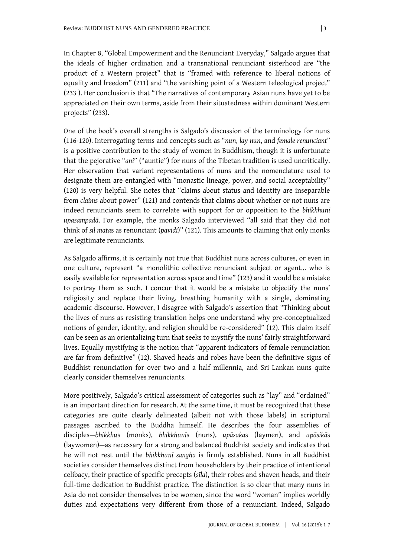In Chapter 8, "Global Empowerment and the Renunciant Everyday," Salgado argues that the ideals of higher ordination and a transnational renunciant sisterhood are "the product of a Western project" that is "framed with reference to liberal notions of equality and freedom" (211) and "the vanishing point of a Western teleological project" (233 ). Her conclusion is that "The narratives of contemporary Asian nuns have yet to be appreciated on their own terms, aside from their situatedness within dominant Western projects" (233).

One of the book's overall strengths is Salgado's discussion of the terminology for nuns (116-120). Interrogating terms and concepts such as "*nun*, *lay nun*, and *female renunciant*" is a positive contribution to the study of women in Buddhism, though it is unfortunate that the pejorative "*ani*" ("auntie") for nuns of the Tibetan tradition is used uncritically. Her observation that variant representations of nuns and the nomenclature used to designate them are entangled with "monastic lineage, power, and social acceptability" (120) is very helpful. She notes that "claims about status and identity are inseparable from *claims* about power" (121) and contends that claims about whether or not nuns are indeed renunciants seem to correlate with support for or opposition to the *bhikkhunī upasampadā*. For example, the monks Salgado interviewed "all said that they did not think of *sil mata*s as renunciant (*pavidi*)" (121). This amounts to claiming that only monks are legitimate renunciants.

As Salgado affirms, it is certainly not true that Buddhist nuns across cultures, or even in one culture, represent "a monolithic collective renunciant subject or agent... who is easily available for representation across space and time" (123) and it would be a mistake to portray them as such. I concur that it would be a mistake to objectify the nuns' religiosity and replace their living, breathing humanity with a single, dominating academic discourse. However, I disagree with Salgado's assertion that "Thinking about the lives of nuns as resisting translation helps one understand why pre-conceptualized notions of gender, identity, and religion should be re-considered" (12). This claim itself can be seen as an orientalizing turn that seeks to mystify the nuns' fairly straightforward lives. Equally mystifying is the notion that "apparent indicators of female renunciation are far from definitive" (12). Shaved heads and robes have been the definitive signs of Buddhist renunciation for over two and a half millennia, and Sri Lankan nuns quite clearly consider themselves renunciants.

More positively, Salgado's critical assessment of categories such as "lay" and "ordained" is an important direction for research. At the same time, it must be recognized that these categories are quite clearly delineated (albeit not with those labels) in scriptural passages ascribed to the Buddha himself. He describes the four assemblies of disciples—*bhikkhu*s (monks), *bhikkhunī*s (nuns), *upāsaka*s (laymen), and *upāsikā*s (laywomen)—as necessary for a strong and balanced Buddhist society and indicates that he will not rest until the *bhikkhunī sangha* is firmly established. Nuns in all Buddhist societies consider themselves distinct from householders by their practice of intentional celibacy, their practice of specific precepts (*sīla*), their robes and shaven heads, and their full-time dedication to Buddhist practice. The distinction is so clear that many nuns in Asia do not consider themselves to be women, since the word "woman" implies worldly duties and expectations very different from those of a renunciant. Indeed, Salgado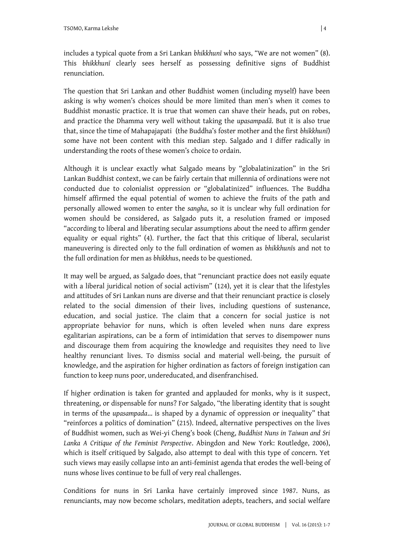includes a typical quote from a Sri Lankan *bhikkhunī* who says, "We are not women" (8). This *bhikkhunī* clearly sees herself as possessing definitive signs of Buddhist renunciation.

The question that Sri Lankan and other Buddhist women (including myself) have been asking is why women's choices should be more limited than men's when it comes to Buddhist monastic practice. It is true that women can shave their heads, put on robes, and practice the Dhamma very well without taking the *upasampadā*. But it is also true that, since the time of Mahapajapati (the Buddha's foster mother and the first *bhikkhunī*) some have not been content with this median step. Salgado and I differ radically in understanding the roots of these women's choice to ordain.

Although it is unclear exactly what Salgado means by "globalatinization" in the Sri Lankan Buddhist context, we can be fairly certain that millennia of ordinations were not conducted due to colonialist oppression or "globalatinized" influences. The Buddha himself affirmed the equal potential of women to achieve the fruits of the path and personally allowed women to enter the *sangha*, so it is unclear why full ordination for women should be considered, as Salgado puts it, a resolution framed or imposed "according to liberal and liberating secular assumptions about the need to affirm gender equality or equal rights" (4). Further, the fact that this critique of liberal, secularist maneuvering is directed only to the full ordination of women as *bhikkhunī*s and not to the full ordination for men as *bhikkhu*s, needs to be questioned.

It may well be argued, as Salgado does, that "renunciant practice does not easily equate with a liberal juridical notion of social activism" (124), yet it is clear that the lifestyles and attitudes of Sri Lankan nuns are diverse and that their renunciant practice is closely related to the social dimension of their lives, including questions of sustenance, education, and social justice. The claim that a concern for social justice is not appropriate behavior for nuns, which is often leveled when nuns dare express egalitarian aspirations, can be a form of intimidation that serves to disempower nuns and discourage them from acquiring the knowledge and requisites they need to live healthy renunciant lives. To dismiss social and material well-being, the pursuit of knowledge, and the aspiration for higher ordination as factors of foreign instigation can function to keep nuns poor, undereducated, and disenfranchised.

If higher ordination is taken for granted and applauded for monks, why is it suspect, threatening, or dispensable for nuns? For Salgado, "the liberating identity that is sought in terms of the *upasampada*... is shaped by a dynamic of oppression or inequality" that "reinforces a politics of domination" (215). Indeed, alternative perspectives on the lives of Buddhist women, such as Wei-yi Cheng's book (Cheng, *Buddhist Nuns in Taiwan and Sri Lanka A Critique of the Feminist Perspective*. Abingdon and New York: Routledge, 2006), which is itself critiqued by Salgado, also attempt to deal with this type of concern. Yet such views may easily collapse into an anti-feminist agenda that erodes the well-being of nuns whose lives continue to be full of very real challenges.

Conditions for nuns in Sri Lanka have certainly improved since 1987. Nuns, as renunciants, may now become scholars, meditation adepts, teachers, and social welfare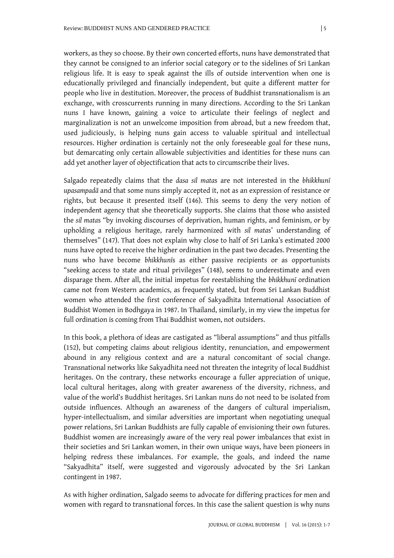workers, as they so choose. By their own concerted efforts, nuns have demonstrated that they cannot be consigned to an inferior social category or to the sidelines of Sri Lankan religious life. It is easy to speak against the ills of outside intervention when one is educationally privileged and financially independent, but quite a different matter for people who live in destitution. Moreover, the process of Buddhist transnationalism is an exchange, with crosscurrents running in many directions. According to the Sri Lankan nuns I have known, gaining a voice to articulate their feelings of neglect and marginalization is not an unwelcome imposition from abroad, but a new freedom that, used judiciously, is helping nuns gain access to valuable spiritual and intellectual resources. Higher ordination is certainly not the only foreseeable goal for these nuns, but demarcating only certain allowable subjectivities and identities for these nuns can add yet another layer of objectification that acts to circumscribe their lives.

Salgado repeatedly claims that the *dasa sil mata*s are not interested in the *bhikkhunī upasampadā* and that some nuns simply accepted it, not as an expression of resistance or rights, but because it presented itself (146). This seems to deny the very notion of independent agency that she theoretically supports. She claims that those who assisted the *sil mata*s "by invoking discourses of deprivation, human rights, and feminism, or by upholding a religious heritage, rarely harmonized with *sil mata*s' understanding of themselves" (147). That does not explain why close to half of Sri Lanka's estimated 2000 nuns have opted to receive the higher ordination in the past two decades. Presenting the nuns who have become *bhikkhunī*s as either passive recipients or as opportunists "seeking access to state and ritual privileges" (148), seems to underestimate and even disparage them. After all, the initial impetus for reestablishing the *bhikkhunī* ordination came not from Western academics, as frequently stated, but from Sri Lankan Buddhist women who attended the first conference of Sakyadhita International Association of Buddhist Women in Bodhgaya in 1987. In Thailand, similarly, in my view the impetus for full ordination is coming from Thai Buddhist women, not outsiders.

In this book, a plethora of ideas are castigated as "liberal assumptions" and thus pitfalls (152), but competing claims about religious identity, renunciation, and empowerment abound in any religious context and are a natural concomitant of social change. Transnational networks like Sakyadhita need not threaten the integrity of local Buddhist heritages. On the contrary, these networks encourage a fuller appreciation of unique, local cultural heritages, along with greater awareness of the diversity, richness, and value of the world's Buddhist heritages. Sri Lankan nuns do not need to be isolated from outside influences. Although an awareness of the dangers of cultural imperialism, hyper-intellectualism, and similar adversities are important when negotiating unequal power relations, Sri Lankan Buddhists are fully capable of envisioning their own futures. Buddhist women are increasingly aware of the very real power imbalances that exist in their societies and Sri Lankan women, in their own unique ways, have been pioneers in helping redress these imbalances. For example, the goals, and indeed the name "Sakyadhita" itself, were suggested and vigorously advocated by the Sri Lankan contingent in 1987.

As with higher ordination, Salgado seems to advocate for differing practices for men and women with regard to transnational forces. In this case the salient question is why nuns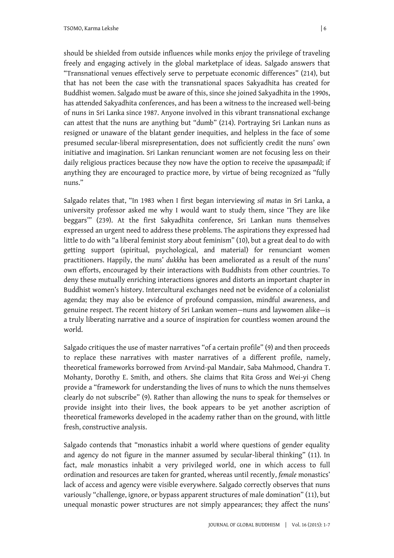should be shielded from outside influences while monks enjoy the privilege of traveling freely and engaging actively in the global marketplace of ideas. Salgado answers that "Transnational venues effectively serve to perpetuate economic differences" (214), but that has not been the case with the transnational spaces Sakyadhita has created for Buddhist women. Salgado must be aware of this, since she joined Sakyadhita in the 1990s, has attended Sakyadhita conferences, and has been a witness to the increased well-being of nuns in Sri Lanka since 1987. Anyone involved in this vibrant transnational exchange can attest that the nuns are anything but "dumb" (214). Portraying Sri Lankan nuns as resigned or unaware of the blatant gender inequities, and helpless in the face of some presumed secular-liberal misrepresentation, does not sufficiently credit the nuns' own initiative and imagination. Sri Lankan renunciant women are not focusing less on their daily religious practices because they now have the option to receive the *upasampadā*; if anything they are encouraged to practice more, by virtue of being recognized as "fully nuns."

Salgado relates that, "In 1983 when I first began interviewing *sil matas* in Sri Lanka, a university professor asked me why I would want to study them, since 'They are like beggars'" (239). At the first Sakyadhita conference, Sri Lankan nuns themselves expressed an urgent need to address these problems. The aspirations they expressed had little to do with "a liberal feminist story about feminism" (10), but a great deal to do with getting support (spiritual, psychological, and material) for renunciant women practitioners. Happily, the nuns' *dukkha* has been ameliorated as a result of the nuns' own efforts, encouraged by their interactions with Buddhists from other countries. To deny these mutually enriching interactions ignores and distorts an important chapter in Buddhist women's history. Intercultural exchanges need not be evidence of a colonialist agenda; they may also be evidence of profound compassion, mindful awareness, and genuine respect. The recent history of Sri Lankan women—nuns and laywomen alike—is a truly liberating narrative and a source of inspiration for countless women around the world.

Salgado critiques the use of master narratives "of a certain profile" (9) and then proceeds to replace these narratives with master narratives of a different profile, namely, theoretical frameworks borrowed from Arvind-pal Mandair, Saba Mahmood, Chandra T. Mohanty, Dorothy E. Smith, and others. She claims that Rita Gross and Wei-yi Cheng provide a "framework for understanding the lives of nuns to which the nuns themselves clearly do not subscribe" (9). Rather than allowing the nuns to speak for themselves or provide insight into their lives, the book appears to be yet another ascription of theoretical frameworks developed in the academy rather than on the ground, with little fresh, constructive analysis.

Salgado contends that "monastics inhabit a world where questions of gender equality and agency do not figure in the manner assumed by secular-liberal thinking" (11). In fact, *male* monastics inhabit a very privileged world, one in which access to full ordination and resources are taken for granted, whereas until recently, *female* monastics' lack of access and agency were visible everywhere. Salgado correctly observes that nuns variously "challenge, ignore, or bypass apparent structures of male domination" (11), but unequal monastic power structures are not simply appearances; they affect the nuns'